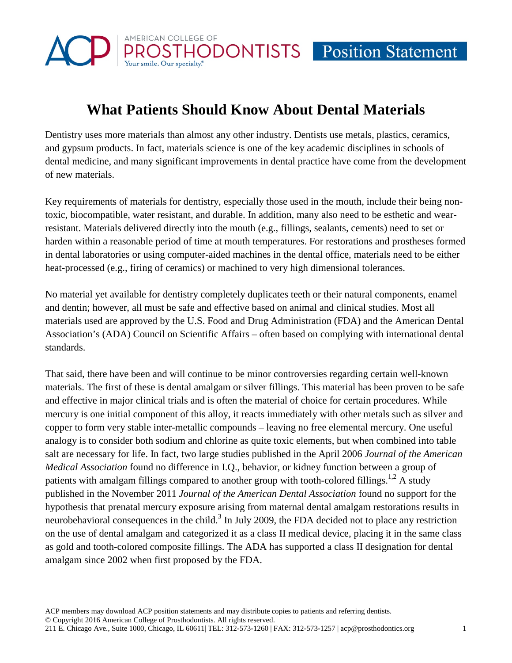

# **What Patients Should Know About Dental Materials**

Dentistry uses more materials than almost any other industry. Dentists use metals, plastics, ceramics, and gypsum products. In fact, materials science is one of the key academic disciplines in schools of dental medicine, and many significant improvements in dental practice have come from the development of new materials.

Key requirements of materials for dentistry, especially those used in the mouth, include their being nontoxic, biocompatible, water resistant, and durable. In addition, many also need to be esthetic and wearresistant. Materials delivered directly into the mouth (e.g., fillings, sealants, cements) need to set or harden within a reasonable period of time at mouth temperatures. For restorations and prostheses formed in dental laboratories or using computer-aided machines in the dental office, materials need to be either heat-processed (e.g., firing of ceramics) or machined to very high dimensional tolerances.

No material yet available for dentistry completely duplicates teeth or their natural components, enamel and dentin; however, all must be safe and effective based on animal and clinical studies. Most all materials used are approved by the U.S. Food and Drug Administration (FDA) and the American Dental Association's (ADA) Council on Scientific Affairs – often based on complying with international dental standards.

That said, there have been and will continue to be minor controversies regarding certain well-known materials. The first of these is dental amalgam or silver fillings. This material has been proven to be safe and effective in major clinical trials and is often the material of choice for certain procedures. While mercury is one initial component of this alloy, it reacts immediately with other metals such as silver and copper to form very stable inter-metallic compounds – leaving no free elemental mercury. One useful analogy is to consider both sodium and chlorine as quite toxic elements, but when combined into table salt are necessary for life. In fact, two large studies published in the April 2006 *Journal of the American Medical Association* found no difference in I.Q., behavior, or kidney function between a group of patients with amalgam fillings compared to another group with tooth-colored fillings.<sup>1,2</sup> A study published in the November 2011 *Journal of the American Dental Association* found no support for the hypothesis that prenatal mercury exposure arising from maternal dental amalgam restorations results in neurobehavioral consequences in the child. $3$  In July 2009, the FDA decided not to place any restriction on the use of dental amalgam and categorized it as a class II medical device, placing it in the same class as gold and tooth-colored composite fillings. The ADA has supported a class II designation for dental amalgam since 2002 when first proposed by the FDA.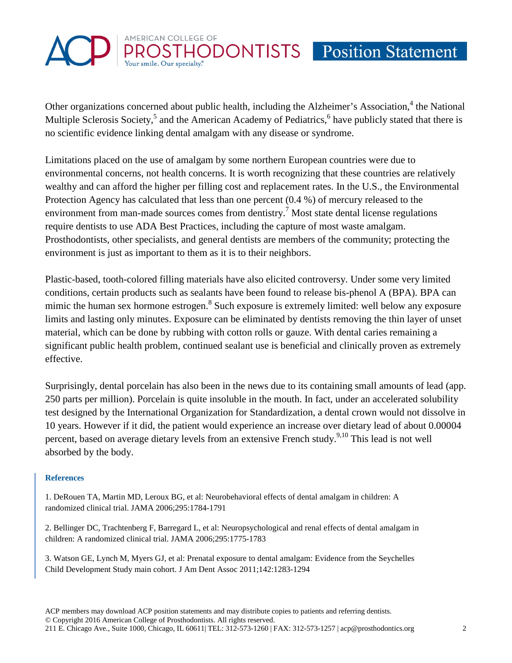

Other organizations concerned about public health, including the Alzheimer's Association,<sup>4</sup> the National Multiple Sclerosis Society,<sup>5</sup> and the American Academy of Pediatrics,<sup>6</sup> have publicly stated that there is no scientific evidence linking dental amalgam with any disease or syndrome.

Limitations placed on the use of amalgam by some northern European countries were due to environmental concerns, not health concerns. It is worth recognizing that these countries are relatively wealthy and can afford the higher per filling cost and replacement rates. In the U.S., the Environmental Protection Agency has calculated that less than one percent (0.4 %) of mercury released to the environment from man-made sources comes from dentistry.<sup>7</sup> Most state dental license regulations require dentists to use ADA Best Practices, including the capture of most waste amalgam. Prosthodontists, other specialists, and general dentists are members of the community; protecting the environment is just as important to them as it is to their neighbors.

Plastic-based, tooth-colored filling materials have also elicited controversy. Under some very limited conditions, certain products such as sealants have been found to release bis-phenol A (BPA). BPA can mimic the human sex hormone estrogen.<sup>8</sup> Such exposure is extremely limited: well below any exposure limits and lasting only minutes. Exposure can be eliminated by dentists removing the thin layer of unset material, which can be done by rubbing with cotton rolls or gauze. With dental caries remaining a significant public health problem, continued sealant use is beneficial and clinically proven as extremely effective.

Surprisingly, dental porcelain has also been in the news due to its containing small amounts of lead (app. 250 parts per million). Porcelain is quite insoluble in the mouth. In fact, under an accelerated solubility test designed by the International Organization for Standardization, a dental crown would not dissolve in 10 years. However if it did, the patient would experience an increase over dietary lead of about 0.00004 percent, based on average dietary levels from an extensive French study.<sup>9,10</sup> This lead is not well absorbed by the body.

# **References**

1. DeRouen TA, Martin MD, Leroux BG, et al: Neurobehavioral effects of dental amalgam in children: A randomized clinical trial. JAMA 2006;295:1784-1791

2. Bellinger DC, Trachtenberg F, Barregard L, et al: Neuropsychological and renal effects of dental amalgam in children: A randomized clinical trial. JAMA 2006;295:1775-1783

3. Watson GE, Lynch M, Myers GJ, et al: Prenatal exposure to dental amalgam: Evidence from the Seychelles Child Development Study main cohort. J Am Dent Assoc 2011;142:1283-1294